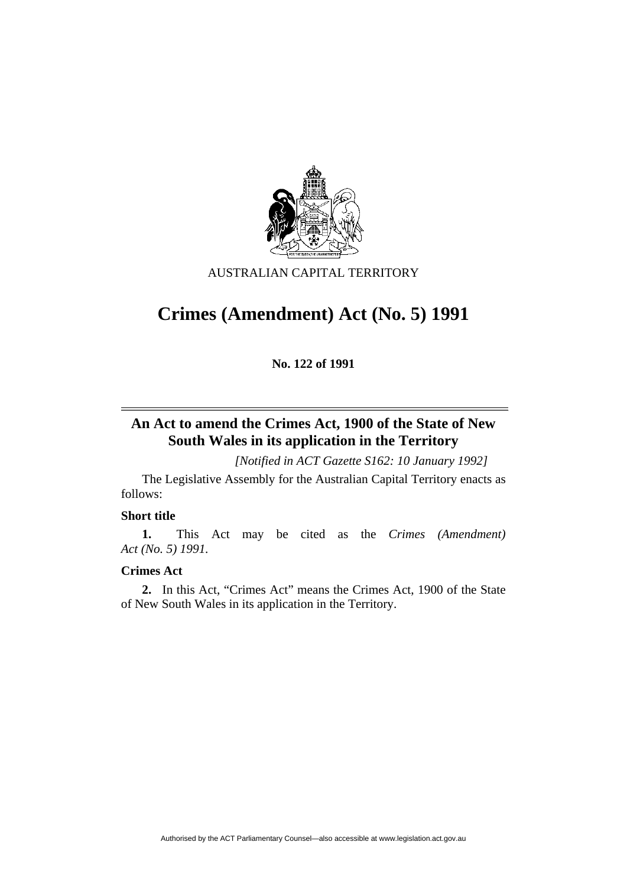

## AUSTRALIAN CAPITAL TERRITORY

# **Crimes (Amendment) Act (No. 5) 1991**

**No. 122 of 1991** 

# **An Act to amend the Crimes Act, 1900 of the State of New South Wales in its application in the Territory**

 *[Notified in ACT Gazette S162: 10 January 1992]* 

 The Legislative Assembly for the Australian Capital Territory enacts as follows:

## **Short title**

**1.** This Act may be cited as the *Crimes (Amendment) Act (No. 5) 1991.* 

#### **Crimes Act**

**2.** In this Act, "Crimes Act" means the Crimes Act, 1900 of the State of New South Wales in its application in the Territory.